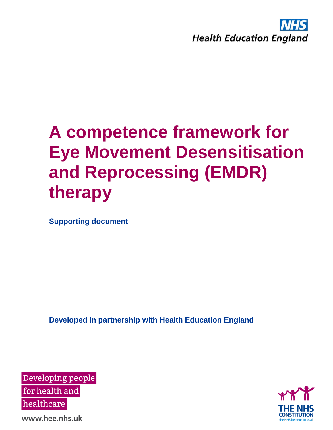

**Supporting document**

**Developed in partnership with Health Education England**





www.hee.nhs.uk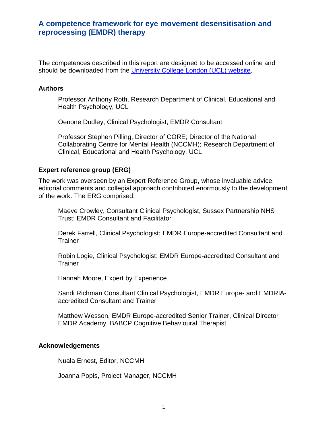The competences described in this report are designed to be accessed online and should be downloaded from the [University College London \(UCL\) website.](http://www.ucl.ac.uk/pals/research/clinical-educational-and-health-psychology/research-groups/core/competence-frameworks)

#### **Authors**

Professor Anthony Roth, Research Department of Clinical, Educational and Health Psychology, UCL

Oenone Dudley, Clinical Psychologist, EMDR Consultant

Professor Stephen Pilling, Director of CORE; Director of the National Collaborating Centre for Mental Health (NCCMH); Research Department of Clinical, Educational and Health Psychology, UCL

#### **Expert reference group (ERG)**

The work was overseen by an Expert Reference Group, whose invaluable advice, editorial comments and collegial approach contributed enormously to the development of the work. The ERG comprised:

Maeve Crowley, Consultant Clinical Psychologist, Sussex Partnership NHS Trust; EMDR Consultant and Facilitator

Derek Farrell, Clinical Psychologist; EMDR Europe-accredited Consultant and **Trainer** 

Robin Logie, Clinical Psychologist; EMDR Europe-accredited Consultant and **Trainer** 

Hannah Moore, Expert by Experience

Sandi Richman Consultant Clinical Psychologist, EMDR Europe- and EMDRIAaccredited Consultant and Trainer

Matthew Wesson, EMDR Europe-accredited Senior Trainer, Clinical Director EMDR Academy, BABCP Cognitive Behavioural Therapist

#### **Acknowledgements**

Nuala Ernest, Editor, NCCMH

Joanna Popis, Project Manager, NCCMH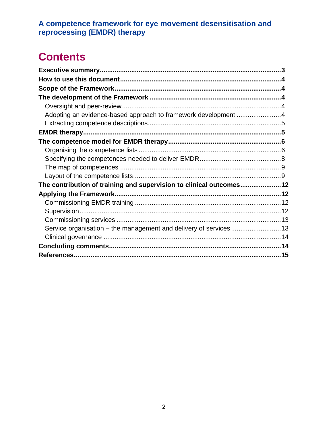# **Contents**

| Adopting an evidence-based approach to framework development 4      |  |
|---------------------------------------------------------------------|--|
|                                                                     |  |
|                                                                     |  |
|                                                                     |  |
|                                                                     |  |
|                                                                     |  |
|                                                                     |  |
|                                                                     |  |
| The contribution of training and supervision to clinical outcomes12 |  |
|                                                                     |  |
|                                                                     |  |
|                                                                     |  |
|                                                                     |  |
| Service organisation - the management and delivery of services13    |  |
|                                                                     |  |
|                                                                     |  |
|                                                                     |  |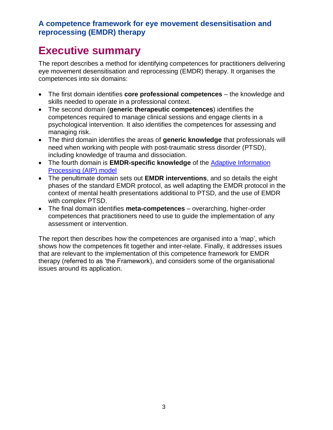### <span id="page-3-0"></span>**Executive summary**

The report describes a method for identifying competences for practitioners delivering eye movement desensitisation and reprocessing (EMDR) therapy. It organises the competences into six domains:

- The first domain identifies **core professional competences**  the knowledge and skills needed to operate in a professional context.
- The second domain (**generic therapeutic competences**) identifies the competences required to manage clinical sessions and engage clients in a psychological intervention. It also identifies the competences for assessing and managing risk.
- The third domain identifies the areas of **generic knowledge** that professionals will need when working with people with post-traumatic stress disorder (PTSD), including knowledge of trauma and dissociation.
- The fourth domain is **EMDR-specific knowledge** of the [Adaptive Information](http://emdr-europe.org/about/the-aip-model/)  [Processing \(AIP\) model](http://emdr-europe.org/about/the-aip-model/)
- The penultimate domain sets out **EMDR interventions**, and so details the eight phases of the standard EMDR protocol, as well adapting the EMDR protocol in the context of mental health presentations additional to PTSD, and the use of EMDR with complex PTSD.
- The final domain identifies **meta-competences** overarching, higher-order competences that practitioners need to use to guide the implementation of any assessment or intervention.

The report then describes how the competences are organised into a 'map', which shows how the competences fit together and inter-relate. Finally, it addresses issues that are relevant to the implementation of this competence framework for EMDR therapy (referred to as 'the Framework), and considers some of the organisational issues around its application.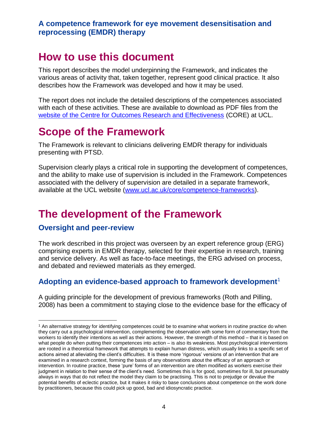# <span id="page-4-0"></span>**How to use this document**

This report describes the model underpinning the Framework, and indicates the various areas of activity that, taken together, represent good clinical practice. It also describes how the Framework was developed and how it may be used.

The report does not include the detailed descriptions of the competences associated with each of these activities. These are available to download as PDF files from the [website of the Centre for Outcomes Research and Effectiveness](http://www.ucl.ac.uk/CORE/competence-frameworks) (CORE) at UCL.

# <span id="page-4-1"></span>**Scope of the Framework**

The Framework is relevant to clinicians delivering EMDR therapy for individuals presenting with PTSD.

Supervision clearly plays a critical role in supporting the development of competences, and the ability to make use of supervision is included in the Framework. Competences associated with the delivery of supervision are detailed in a separate framework, available at the UCL website [\(www.ucl.ac.uk/core/competence-frameworks\)](http://www.ucl.ac.uk/core/competence-frameworks).

# <span id="page-4-2"></span>**The development of the Framework**

#### <span id="page-4-3"></span>**Oversight and peer-review**

 $\overline{a}$ 

The work described in this project was overseen by an expert reference group (ERG) comprising experts in EMDR therapy, selected for their expertise in research, training and service delivery. As well as face-to-face meetings, the ERG advised on process, and debated and reviewed materials as they emerged.

#### <span id="page-4-4"></span>**Adopting an evidence-based approach to framework development**<sup>1</sup>

A guiding principle for the development of previous frameworks (Roth and Pilling, 2008) has been a commitment to staying close to the evidence base for the efficacy of

<sup>1</sup> An alternative strategy for identifying competences could be to examine what workers in routine practice do when they carry out a psychological intervention, complementing the observation with some form of commentary from the workers to identify their intentions as well as their actions. However, the strength of this method – that it is based on what people do when putting their competences into action – is also its weakness. Most psychological interventions are rooted in a theoretical framework that attempts to explain human distress, which usually links to a specific set of actions aimed at alleviating the client's difficulties. It is these more 'rigorous' versions of an intervention that are examined in a research context, forming the basis of any observations about the efficacy of an approach or intervention. In routine practice, these 'pure' forms of an intervention are often modified as workers exercise their judgment in relation to their sense of the client's need. Sometimes this is for good, sometimes for ill, but presumably always in ways that do not reflect the model they claim to be practising. This is not to prejudge or devalue the potential benefits of eclectic practice, but it makes it risky to base conclusions about competence on the work done by practitioners, because this could pick up good, bad and idiosyncratic practice.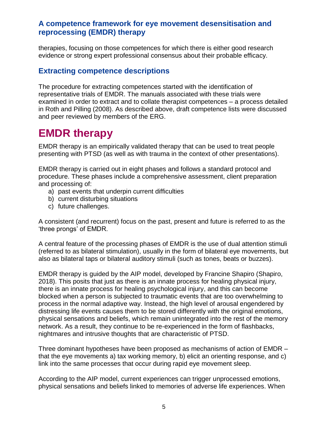therapies, focusing on those competences for which there is either good research evidence or strong expert professional consensus about their probable efficacy.

#### <span id="page-5-0"></span>**Extracting competence descriptions**

The procedure for extracting competences started with the identification of representative trials of EMDR. The manuals associated with these trials were examined in order to extract and to collate therapist competences – a process detailed in Roth and Pilling (2008). As described above, draft competence lists were discussed and peer reviewed by members of the ERG.

# <span id="page-5-1"></span>**EMDR therapy**

EMDR therapy is an empirically validated therapy that can be used to treat people presenting with PTSD (as well as with trauma in the context of other presentations).

EMDR therapy is carried out in eight phases and follows a standard protocol and procedure. These phases include a comprehensive assessment, client preparation and processing of:

- a) past events that underpin current difficulties
- b) current disturbing situations
- c) future challenges.

A consistent (and recurrent) focus on the past, present and future is referred to as the 'three prongs' of EMDR.

A central feature of the processing phases of EMDR is the use of dual attention stimuli (referred to as bilateral stimulation), usually in the form of bilateral eye movements, but also as bilateral taps or bilateral auditory stimuli (such as tones, beats or buzzes).

EMDR therapy is guided by the AIP model, developed by Francine Shapiro (Shapiro, 2018). This posits that just as there is an innate process for healing physical injury, there is an innate process for healing psychological injury, and this can become blocked when a person is subjected to traumatic events that are too overwhelming to process in the normal adaptive way. Instead, the high level of arousal engendered by distressing life events causes them to be stored differently with the original emotions, physical sensations and beliefs, which remain unintegrated into the rest of the memory network. As a result, they continue to be re-experienced in the form of flashbacks, nightmares and intrusive thoughts that are characteristic of PTSD.

Three dominant hypotheses have been proposed as mechanisms of action of EMDR – that the eye movements a) tax working memory, b) elicit an orienting response, and c) link into the same processes that occur during rapid eye movement sleep.

According to the AIP model, current experiences can trigger unprocessed emotions, physical sensations and beliefs linked to memories of adverse life experiences. When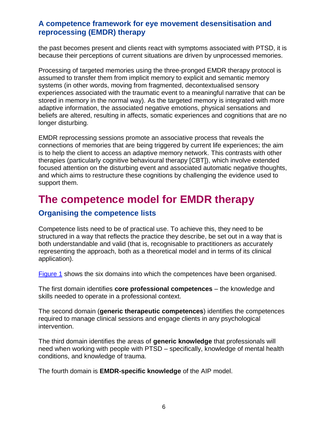the past becomes present and clients react with symptoms associated with PTSD, it is because their perceptions of current situations are driven by unprocessed memories.

Processing of targeted memories using the three-pronged EMDR therapy protocol is assumed to transfer them from implicit memory to explicit and semantic memory systems (in other words, moving from fragmented, decontextualised sensory experiences associated with the traumatic event to a meaningful narrative that can be stored in memory in the normal way). As the targeted memory is integrated with more adaptive information, the associated negative emotions, physical sensations and beliefs are altered, resulting in affects, somatic experiences and cognitions that are no longer disturbing.

EMDR reprocessing sessions promote an associative process that reveals the connections of memories that are being triggered by current life experiences; the aim is to help the client to access an adaptive memory network. This contrasts with other therapies (particularly cognitive behavioural therapy [CBT]), which involve extended focused attention on the disturbing event and associated automatic negative thoughts, and which aims to restructure these cognitions by challenging the evidence used to support them.

### <span id="page-6-0"></span>**The competence model for EMDR therapy**

#### <span id="page-6-1"></span>**Organising the competence lists**

Competence lists need to be of practical use. To achieve this, they need to be structured in a way that reflects the practice they describe, be set out in a way that is both understandable and valid (that is, recognisable to practitioners as accurately representing the approach, both as a theoretical model and in terms of its clinical application).

[Figure 1](#page-8-1) shows the six domains into which the competences have been organised.

The first domain identifies **core professional competences** – the knowledge and skills needed to operate in a professional context.

The second domain (**generic therapeutic competences**) identifies the competences required to manage clinical sessions and engage clients in any psychological intervention.

The third domain identifies the areas of **generic knowledge** that professionals will need when working with people with PTSD – specifically, knowledge of mental health conditions, and knowledge of trauma.

The fourth domain is **EMDR-specific knowledge** of the AIP model.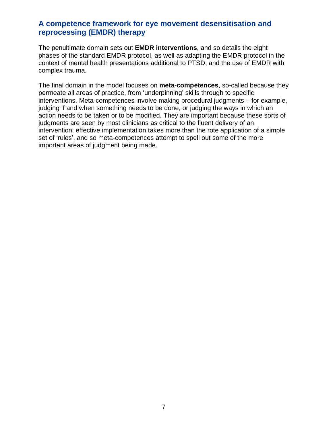The penultimate domain sets out **EMDR interventions**, and so details the eight phases of the standard EMDR protocol, as well as adapting the EMDR protocol in the context of mental health presentations additional to PTSD, and the use of EMDR with complex trauma.

The final domain in the model focuses on **meta-competences**, so-called because they permeate all areas of practice, from 'underpinning' skills through to specific interventions. Meta-competences involve making procedural judgments – for example, judging if and when something needs to be done, or judging the ways in which an action needs to be taken or to be modified. They are important because these sorts of judgments are seen by most clinicians as critical to the fluent delivery of an intervention; effective implementation takes more than the rote application of a simple set of 'rules', and so meta-competences attempt to spell out some of the more important areas of judgment being made.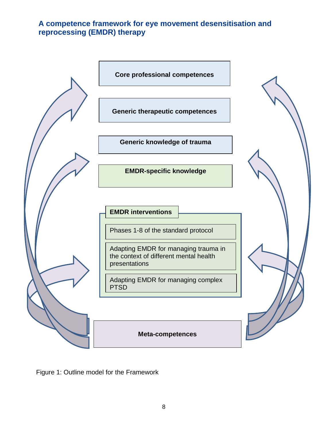<span id="page-8-0"></span>

<span id="page-8-1"></span>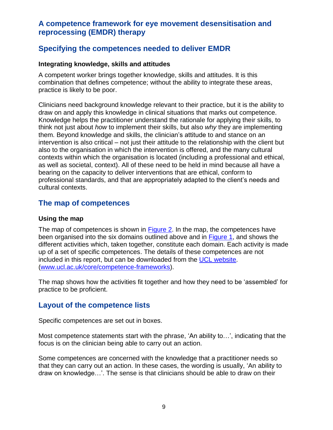#### **Specifying the competences needed to deliver EMDR**

#### **Integrating knowledge, skills and attitudes**

A competent worker brings together knowledge, skills and attitudes. It is this combination that defines competence; without the ability to integrate these areas, practice is likely to be poor.

Clinicians need background knowledge relevant to their practice, but it is the ability to draw on and apply this knowledge in clinical situations that marks out competence. Knowledge helps the practitioner understand the rationale for applying their skills, to think not just about *how* to implement their skills, but also *why* they are implementing them. Beyond knowledge and skills, the clinician's attitude to and stance on an intervention is also critical – not just their attitude to the relationship with the client but also to the organisation in which the intervention is offered, and the many cultural contexts within which the organisation is located (including a professional and ethical, as well as societal, context). All of these need to be held in mind because all have a bearing on the capacity to deliver interventions that are ethical, conform to professional standards, and that are appropriately adapted to the client's needs and cultural contexts.

#### <span id="page-9-0"></span>**The map of competences**

#### **Using the map**

The map of competences is shown in **Figure 2.** In the map, the competences have been organised into the six domains outlined above and in [Figure 1,](#page-8-1) and shows the different activities which, taken together, constitute each domain. Each activity is made up of a set of specific competences. The details of these competences are not included in this report, but can be downloaded from the [UCL website.](http://www.ucl.ac.uk/CORE/competenceframeworks) [\(www.ucl.ac.uk/core/competence-frameworks\)](http://www.ucl.ac.uk/core/competence-frameworks).

The map shows how the activities fit together and how they need to be 'assembled' for practice to be proficient.

#### <span id="page-9-1"></span>**Layout of the competence lists**

Specific competences are set out in boxes.

Most competence statements start with the phrase, 'An ability to…', indicating that the focus is on the clinician being able to carry out an action.

Some competences are concerned with the knowledge that a practitioner needs so that they can carry out an action. In these cases, the wording is usually, 'An ability to draw on knowledge…'. The sense is that clinicians should be able to draw on their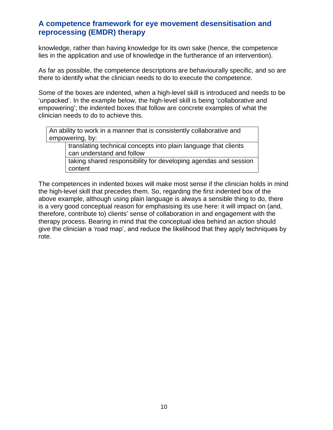knowledge, rather than having knowledge for its own sake (hence, the competence lies in the application and use of knowledge in the furtherance of an intervention).

As far as possible, the competence descriptions are behaviourally specific, and so are there to identify what the clinician needs to do to execute the competence.

Some of the boxes are indented, when a high-level skill is introduced and needs to be 'unpacked'. In the example below, the high-level skill is being 'collaborative and empowering'; the indented boxes that follow are concrete examples of what the clinician needs to do to achieve this.

An ability to work in a manner that is consistently collaborative and empowering, by:

> translating technical concepts into plain language that clients can understand and follow

taking shared responsibility for developing agendas and session content

The competences in indented boxes will make most sense if the clinician holds in mind the high-level skill that precedes them. So, regarding the first indented box of the above example, although using plain language is always a sensible thing to do, there is a very good conceptual reason for emphasising its use here: it will impact on (and, therefore, contribute to) clients' sense of collaboration in and engagement with the therapy process. Bearing in mind that the conceptual idea behind an action should give the clinician a 'road map', and reduce the likelihood that they apply techniques by rote.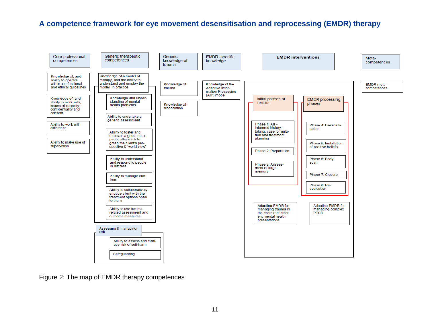

<span id="page-11-0"></span>Figure 2: The map of EMDR therapy competences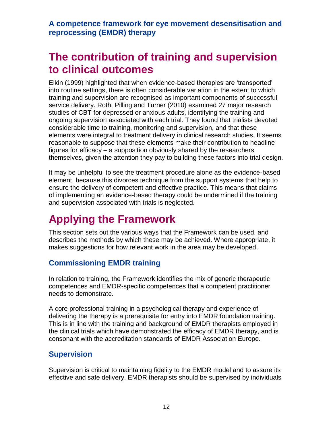# <span id="page-12-0"></span>**The contribution of training and supervision to clinical outcomes**

Elkin (1999) highlighted that when evidence-based therapies are 'transported' into routine settings, there is often considerable variation in the extent to which training and supervision are recognised as important components of successful service delivery. Roth, Pilling and Turner (2010) examined 27 major research studies of CBT for depressed or anxious adults, identifying the training and ongoing supervision associated with each trial. They found that trialists devoted considerable time to training, monitoring and supervision, and that these elements were integral to treatment delivery in clinical research studies. It seems reasonable to suppose that these elements make their contribution to headline figures for efficacy – a supposition obviously shared by the researchers themselves, given the attention they pay to building these factors into trial design.

It may be unhelpful to see the treatment procedure alone as the evidence-based element, because this divorces technique from the support systems that help to ensure the delivery of competent and effective practice. This means that claims of implementing an evidence-based therapy could be undermined if the training and supervision associated with trials is neglected.

# <span id="page-12-1"></span>**Applying the Framework**

This section sets out the various ways that the Framework can be used, and describes the methods by which these may be achieved. Where appropriate, it makes suggestions for how relevant work in the area may be developed.

#### <span id="page-12-2"></span>**Commissioning EMDR training**

In relation to training, the Framework identifies the mix of generic therapeutic competences and EMDR-specific competences that a competent practitioner needs to demonstrate.

A core professional training in a psychological therapy and experience of delivering the therapy is a prerequisite for entry into EMDR foundation training. This is in line with the training and background of EMDR therapists employed in the clinical trials which have demonstrated the efficacy of EMDR therapy, and is consonant with the accreditation standards of EMDR Association Europe.

#### <span id="page-12-3"></span>**Supervision**

Supervision is critical to maintaining fidelity to the EMDR model and to assure its effective and safe delivery. EMDR therapists should be supervised by individuals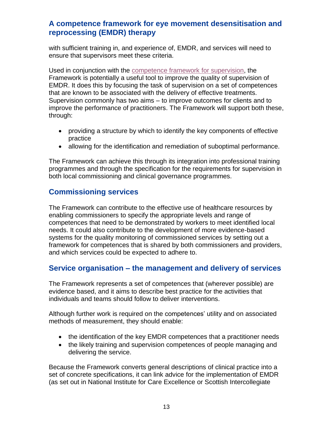with sufficient training in, and experience of, EMDR, and services will need to ensure that supervisors meet these criteria.

Used in conjunction with the [competence framework for supervision,](https://www.ucl.ac.uk/pals/research/clinical-educational-and-health-psychology/research-groups/core/competence-frameworks-8) the Framework is potentially a useful tool to improve the quality of supervision of EMDR. It does this by focusing the task of supervision on a set of competences that are known to be associated with the delivery of effective treatments. Supervision commonly has two aims – to improve outcomes for clients and to improve the performance of practitioners. The Framework will support both these, through:

- providing a structure by which to identify the key components of effective practice
- allowing for the identification and remediation of suboptimal performance.

The Framework can achieve this through its integration into professional training programmes and through the specification for the requirements for supervision in both local commissioning and clinical governance programmes.

#### <span id="page-13-0"></span>**Commissioning services**

The Framework can contribute to the effective use of healthcare resources by enabling commissioners to specify the appropriate levels and range of competences that need to be demonstrated by workers to meet identified local needs. It could also contribute to the development of more evidence-based systems for the quality monitoring of commissioned services by setting out a framework for competences that is shared by both commissioners and providers, and which services could be expected to adhere to.

#### <span id="page-13-1"></span>**Service organisation – the management and delivery of services**

The Framework represents a set of competences that (wherever possible) are evidence based, and it aims to describe best practice for the activities that individuals and teams should follow to deliver interventions.

Although further work is required on the competences' utility and on associated methods of measurement, they should enable:

- the identification of the key EMDR competences that a practitioner needs
- the likely training and supervision competences of people managing and delivering the service.

Because the Framework converts general descriptions of clinical practice into a set of concrete specifications, it can link advice for the implementation of EMDR (as set out in National Institute for Care Excellence or Scottish Intercollegiate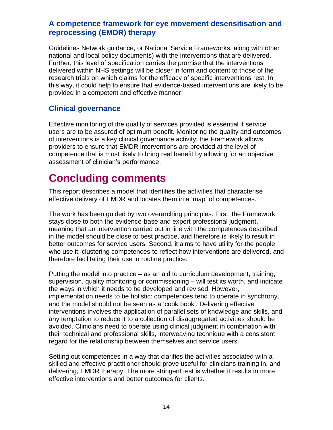Guidelines Network guidance, or National Service Frameworks, along with other national and local policy documents) with the interventions that are delivered. Further, this level of specification carries the promise that the interventions delivered within NHS settings will be closer in form and content to those of the research trials on which claims for the efficacy of specific interventions rest. In this way, it could help to ensure that evidence-based interventions are likely to be provided in a competent and effective manner.

#### <span id="page-14-0"></span>**Clinical governance**

Effective monitoring of the quality of services provided is essential if service users are to be assured of optimum benefit. Monitoring the quality and outcomes of interventions is a key clinical governance activity; the Framework allows providers to ensure that EMDR interventions are provided at the level of competence that is most likely to bring real benefit by allowing for an objective assessment of clinician's performance.

# <span id="page-14-1"></span>**Concluding comments**

This report describes a model that identifies the activities that characterise effective delivery of EMDR and locates them in a 'map' of competences.

The work has been guided by two overarching principles. First, the Framework stays close to both the evidence-base and expert professional judgment, meaning that an intervention carried out in line with the competences described in the model should be close to best practice, and therefore is likely to result in better outcomes for service users. Second, it aims to have utility for the people who use it, clustering competences to reflect how interventions are delivered, and therefore facilitating their use in routine practice.

Putting the model into practice – as an aid to curriculum development, training, supervision, quality monitoring or commissioning – will test its worth, and indicate the ways in which it needs to be developed and revised. However, implementation needs to be holistic: competences tend to operate in synchrony, and the model should not be seen as a 'cook book'. Delivering effective interventions involves the application of parallel sets of knowledge and skills, and any temptation to reduce it to a collection of disaggregated activities should be avoided. Clinicians need to operate using clinical judgment in combination with their technical and professional skills, interweaving technique with a consistent regard for the relationship between themselves and service users.

Setting out competences in a way that clarifies the activities associated with a skilled and effective practitioner should prove useful for clinicians training in, and delivering, EMDR therapy. The more stringent test is whether it results in more effective interventions and better outcomes for clients.